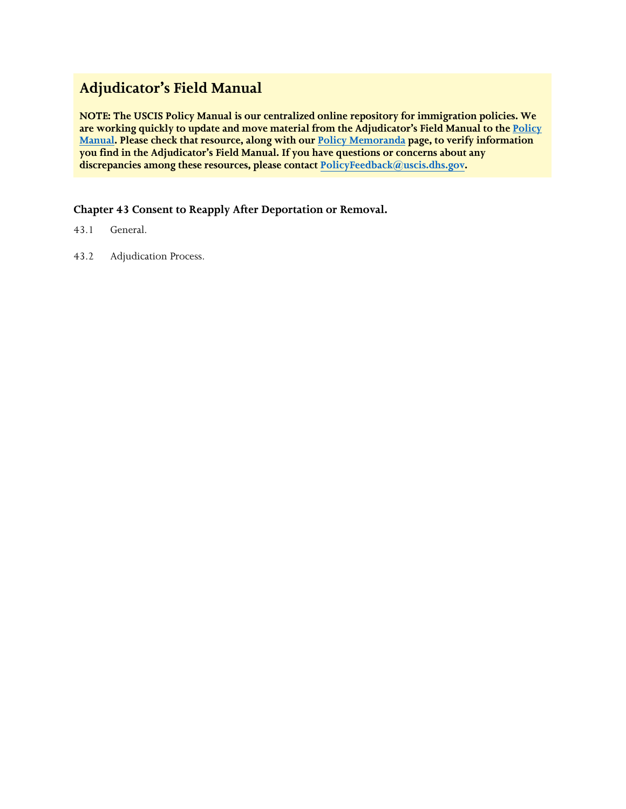# **Adjudicator's Field Manual**

**NOTE: The USCIS Policy Manual is our centralized online repository for immigration policies. We are working quickly to update and move material from the Adjudicator's Field Manual to th[e Policy](https://www.uscis.gov/policy-manual)  [Manual.](https://www.uscis.gov/policy-manual) Please check that resource, along with our [Policy Memoranda](https://www.uscis.gov/legal-resources/policy-memoranda) page, to verify information you find in the Adjudicator's Field Manual. If you have questions or concerns about any discrepancies among these resources, please contact PolicyFeedback[@uscis.dhs.gov.](mailto:PolicyFeedback@uscis.dhs.gov)** 

**Chapter 43 Consent to Reapply After Deportation or Removal.**

- 43.1 General.
- 43.2 Adjudication Process.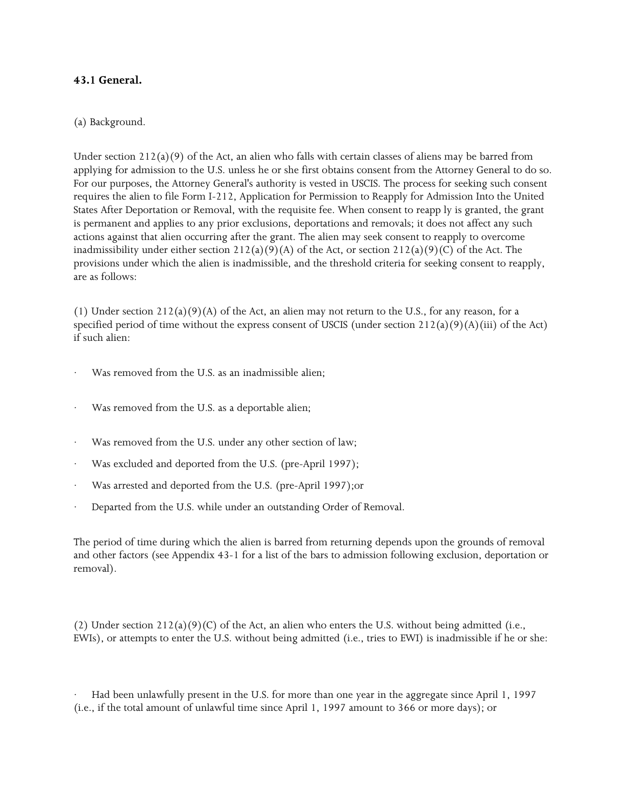## **43.1 General.**

## (a) Background.

Under section  $212(a)(9)$  of the Act, an alien who falls with certain classes of aliens may be barred from applying for admission to the U.S. unless he or she first obtains consent from the Attorney General to do so. For our purposes, the Attorney General's authority is vested in USCIS. The process for seeking such consent requires the alien to file Form I-212, Application for Permission to Reapply for Admission Into the United States After Deportation or Removal, with the requisite fee. When consent to reapp ly is granted, the grant is permanent and applies to any prior exclusions, deportations and removals; it does not affect any such actions against that alien occurring after the grant. The alien may seek consent to reapply to overcome inadmissibility under either section  $212(a)(9)(A)$  of the Act, or section  $212(a)(9)(C)$  of the Act. The provisions under which the alien is inadmissible, and the threshold criteria for seeking consent to reapply, are as follows:

(1) Under section  $212(a)(9)(A)$  of the Act, an alien may not return to the U.S., for any reason, for a specified period of time without the express consent of USCIS (under section  $212(a)(9)(A)(iii)$  of the Act) if such alien:

- Was removed from the U.S. as an inadmissible alien:
- Was removed from the U.S. as a deportable alien;
- Was removed from the U.S. under any other section of law;
- Was excluded and deported from the U.S. (pre-April 1997);
- Was arrested and deported from the U.S. (pre-April 1997);or
- Departed from the U.S. while under an outstanding Order of Removal.

The period of time during which the alien is barred from returning depends upon the grounds of removal and other factors (see Appendix 43-1 for a list of the bars to admission following exclusion, deportation or removal).

(2) Under section  $212(a)(9)(C)$  of the Act, an alien who enters the U.S. without being admitted (i.e., EWIs), or attempts to enter the U.S. without being admitted (i.e., tries to EWI) is inadmissible if he or she:

· Had been unlawfully present in the U.S. for more than one year in the aggregate since April 1, 1997 (i.e., if the total amount of unlawful time since April 1, 1997 amount to 366 or more days); or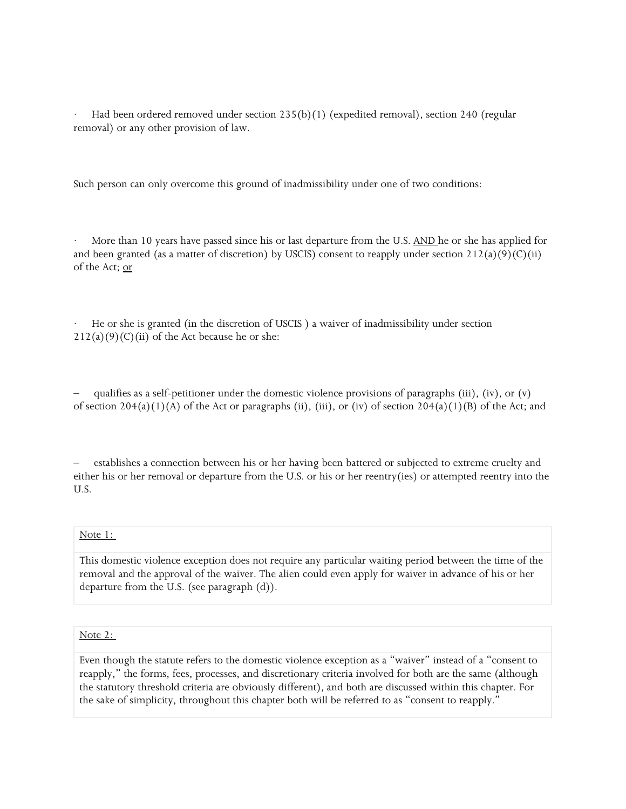Had been ordered removed under section  $235(b)(1)$  (expedited removal), section 240 (regular removal) or any other provision of law.

Such person can only overcome this ground of inadmissibility under one of two conditions:

More than 10 years have passed since his or last departure from the U.S. AND he or she has applied for and been granted (as a matter of discretion) by USCIS) consent to reapply under section  $212(a)(9)(C)(ii)$ of the Act; or

· He or she is granted (in the discretion of USCIS ) a waiver of inadmissibility under section  $212(a)(9)(C)(ii)$  of the Act because he or she:

qualifies as a self-petitioner under the domestic violence provisions of paragraphs (iii), (iv), or  $(v)$ of section  $204(a)(1)(A)$  of the Act or paragraphs (ii), (iii), or (iv) of section  $204(a)(1)(B)$  of the Act; and

– establishes a connection between his or her having been battered or subjected to extreme cruelty and either his or her removal or departure from the U.S. or his or her reentry(ies) or attempted reentry into the U.S.

#### Note 1:

This domestic violence exception does not require any particular waiting period between the time of the removal and the approval of the waiver. The alien could even apply for waiver in advance of his or her departure from the U.S. (see paragraph (d)).

#### Note 2:

Even though the statute refers to the domestic violence exception as a "waiver" instead of a "consent to reapply," the forms, fees, processes, and discretionary criteria involved for both are the same (although the statutory threshold criteria are obviously different), and both are discussed within this chapter. For the sake of simplicity, throughout this chapter both will be referred to as "consent to reapply."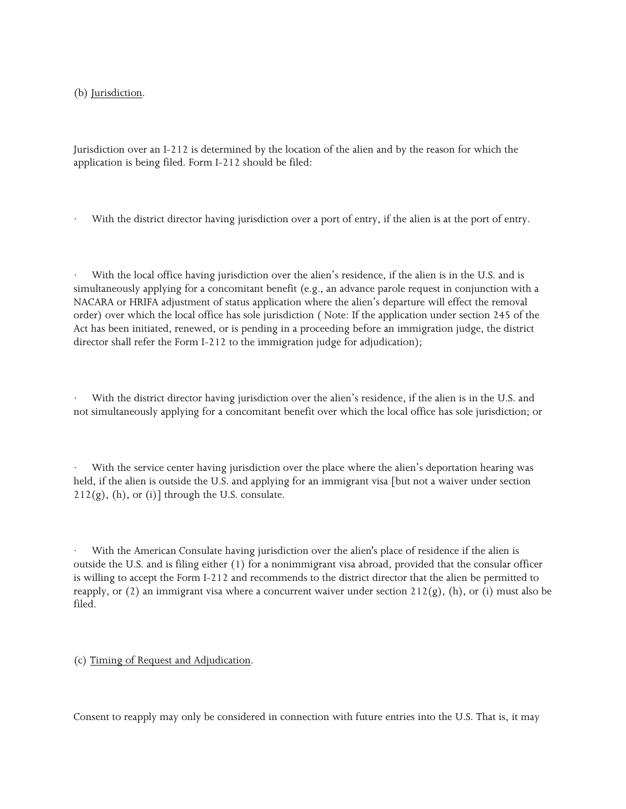(b) Jurisdiction.

Jurisdiction over an I-212 is determined by the location of the alien and by the reason for which the application is being filed. Form I-212 should be filed:

With the district director having jurisdiction over a port of entry, if the alien is at the port of entry.

With the local office having jurisdiction over the alien's residence, if the alien is in the U.S. and is simultaneously applying for a concomitant benefit (e.g., an advance parole request in conjunction with a NACARA or HRIFA adjustment of status application where the alien's departure will effect the removal order) over which the local office has sole jurisdiction ( Note: If the application under section 245 of the Act has been initiated, renewed, or is pending in a proceeding before an immigration judge, the district director shall refer the Form I-212 to the immigration judge for adjudication);

With the district director having jurisdiction over the alien's residence, if the alien is in the U.S. and not simultaneously applying for a concomitant benefit over which the local office has sole jurisdiction; or

With the service center having jurisdiction over the place where the alien's deportation hearing was held, if the alien is outside the U.S. and applying for an immigrant visa [but not a waiver under section  $212(g)$ , (h), or (i)] through the U.S. consulate.

With the American Consulate having jurisdiction over the alien's place of residence if the alien is outside the U.S. and is filing either (1) for a nonimmigrant visa abroad, provided that the consular officer is willing to accept the Form I-212 and recommends to the district director that the alien be permitted to reapply, or (2) an immigrant visa where a concurrent waiver under section  $212(g)$ , (h), or (i) must also be filed.

(c) Timing of Request and Adjudication.

Consent to reapply may only be considered in connection with future entries into the U.S. That is, it may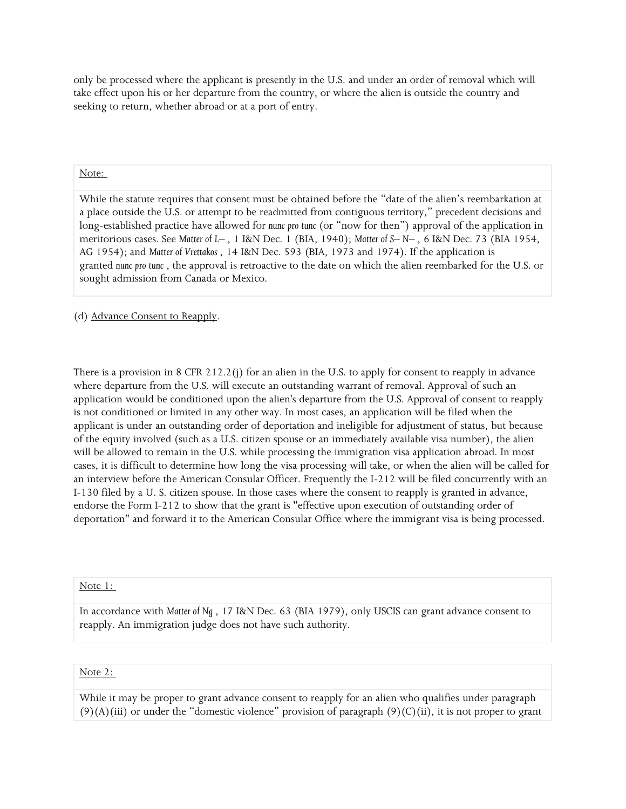only be processed where the applicant is presently in the U.S. and under an order of removal which will take effect upon his or her departure from the country, or where the alien is outside the country and seeking to return, whether abroad or at a port of entry.

## Note:

While the statute requires that consent must be obtained before the "date of the alien's reembarkation at a place outside the U.S. or attempt to be readmitted from contiguous territory," precedent decisions and long-established practice have allowed for *nunc pro tunc* (or "now for then") approval of the application in meritorious cases. See *Matter of L–* , 1 I&N Dec. 1 (BIA, 1940); *Matter of S– N–* , 6 I&N Dec. 73 (BIA 1954, AG 1954); and *Matter of Vrettakos* , 14 I&N Dec. 593 (BIA, 1973 and 1974). If the application is granted *nunc pro tunc* , the approval is retroactive to the date on which the alien reembarked for the U.S. or sought admission from Canada or Mexico.

(d) Advance Consent to Reapply.

There is a provision in 8 CFR 212.2(j) for an alien in the U.S. to apply for consent to reapply in advance where departure from the U.S. will execute an outstanding warrant of removal. Approval of such an application would be conditioned upon the alien's departure from the U.S. Approval of consent to reapply is not conditioned or limited in any other way. In most cases, an application will be filed when the applicant is under an outstanding order of deportation and ineligible for adjustment of status, but because of the equity involved (such as a U.S. citizen spouse or an immediately available visa number), the alien will be allowed to remain in the U.S. while processing the immigration visa application abroad. In most cases, it is difficult to determine how long the visa processing will take, or when the alien will be called for an interview before the American Consular Officer. Frequently the I-212 will be filed concurrently with an I-130 filed by a U. S. citizen spouse. In those cases where the consent to reapply is granted in advance, endorse the Form I-212 to show that the grant is "effective upon execution of outstanding order of deportation" and forward it to the American Consular Office where the immigrant visa is being processed.

Note 1:

In accordance with *Matter of Ng* , 17 I&N Dec. 63 (BIA 1979), only USCIS can grant advance consent to reapply. An immigration judge does not have such authority.

## Note 2:

While it may be proper to grant advance consent to reapply for an alien who qualifies under paragraph  $(9)(A)(iii)$  or under the "domestic violence" provision of paragraph  $(9)(C)(ii)$ , it is not proper to grant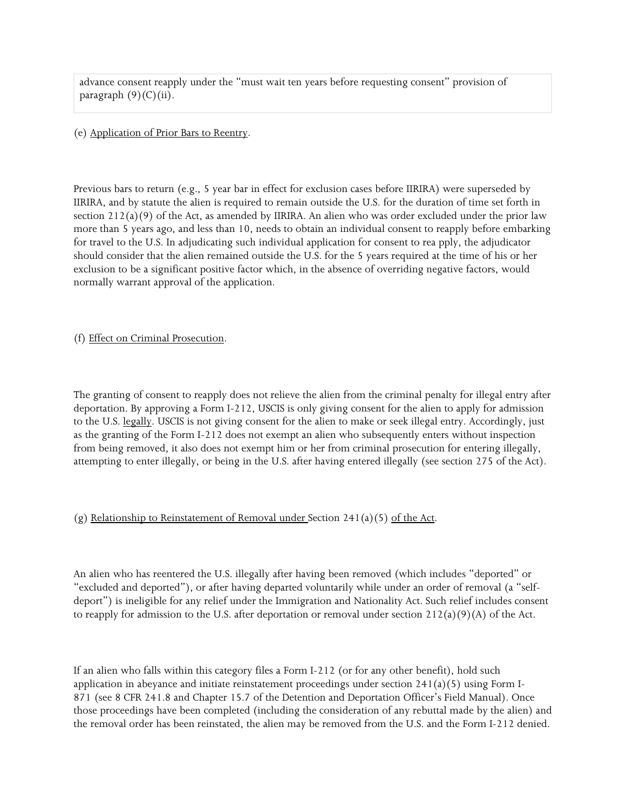advance consent reapply under the "must wait ten years before requesting consent" provision of paragraph  $(9)(C)(ii)$ .

#### (e) Application of Prior Bars to Reentry.

Previous bars to return (e.g., 5 year bar in effect for exclusion cases before IIRIRA) were superseded by IIRIRA, and by statute the alien is required to remain outside the U.S. for the duration of time set forth in section 212(a)(9) of the Act, as amended by IIRIRA. An alien who was order excluded under the prior law more than 5 years ago, and less than 10, needs to obtain an individual consent to reapply before embarking for travel to the U.S. In adjudicating such individual application for consent to rea pply, the adjudicator should consider that the alien remained outside the U.S. for the 5 years required at the time of his or her exclusion to be a significant positive factor which, in the absence of overriding negative factors, would normally warrant approval of the application.

## (f) Effect on Criminal Prosecution.

The granting of consent to reapply does not relieve the alien from the criminal penalty for illegal entry after deportation. By approving a Form I-212, USCIS is only giving consent for the alien to apply for admission to the U.S. legally. USCIS is not giving consent for the alien to make or seek illegal entry. Accordingly, just as the granting of the Form I-212 does not exempt an alien who subsequently enters without inspection from being removed, it also does not exempt him or her from criminal prosecution for entering illegally, attempting to enter illegally, or being in the U.S. after having entered illegally (see section 275 of the Act).

# (g) Relationship to Reinstatement of Removal under Section 241(a)(5) of the Act.

An alien who has reentered the U.S. illegally after having been removed (which includes "deported" or "excluded and deported"), or after having departed voluntarily while under an order of removal (a "selfdeport") is ineligible for any relief under the Immigration and Nationality Act. Such relief includes consent to reapply for admission to the U.S. after deportation or removal under section  $212(a)(9)(A)$  of the Act.

If an alien who falls within this category files a Form I-212 (or for any other benefit), hold such application in abeyance and initiate reinstatement proceedings under section  $241(a)(5)$  using Form I-871 (see 8 CFR 241.8 and Chapter 15.7 of the Detention and Deportation Officer's Field Manual). Once those proceedings have been completed (including the consideration of any rebuttal made by the alien) and the removal order has been reinstated, the alien may be removed from the U.S. and the Form I-212 denied.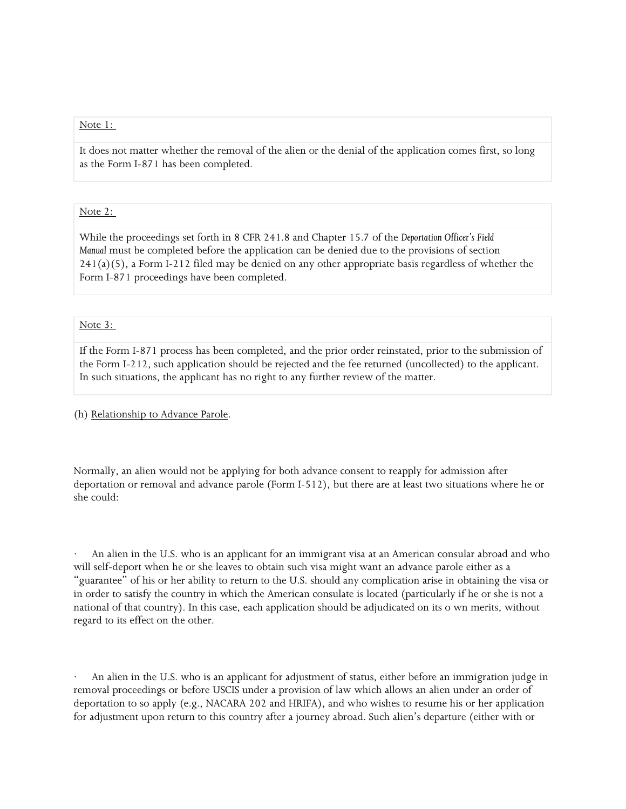#### Note 1:

It does not matter whether the removal of the alien or the denial of the application comes first, so long as the Form I-871 has been completed.

#### Note 2:

While the proceedings set forth in 8 CFR 241.8 and Chapter 15.7 of the *Deportation Officer's Field Manual* must be completed before the application can be denied due to the provisions of section 241(a)(5), a Form I-212 filed may be denied on any other appropriate basis regardless of whether the Form I-871 proceedings have been completed.

#### Note 3:

If the Form I-871 process has been completed, and the prior order reinstated, prior to the submission of the Form I-212, such application should be rejected and the fee returned (uncollected) to the applicant. In such situations, the applicant has no right to any further review of the matter.

#### (h) Relationship to Advance Parole.

Normally, an alien would not be applying for both advance consent to reapply for admission after deportation or removal and advance parole (Form I-512), but there are at least two situations where he or she could:

An alien in the U.S. who is an applicant for an immigrant visa at an American consular abroad and who will self-deport when he or she leaves to obtain such visa might want an advance parole either as a "guarantee" of his or her ability to return to the U.S. should any complication arise in obtaining the visa or in order to satisfy the country in which the American consulate is located (particularly if he or she is not a national of that country). In this case, each application should be adjudicated on its o wn merits, without regard to its effect on the other.

An alien in the U.S. who is an applicant for adjustment of status, either before an immigration judge in removal proceedings or before USCIS under a provision of law which allows an alien under an order of deportation to so apply (e.g., NACARA 202 and HRIFA), and who wishes to resume his or her application for adjustment upon return to this country after a journey abroad. Such alien's departure (either with or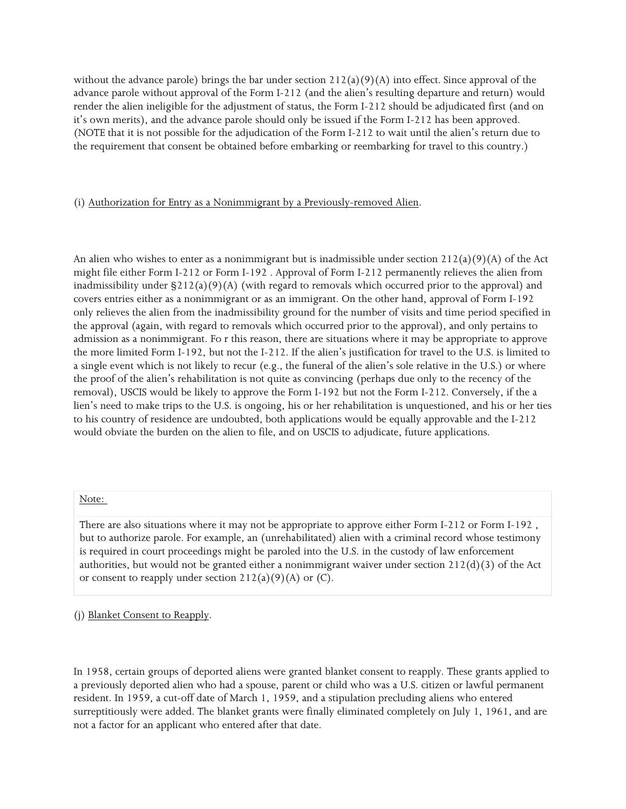without the advance parole) brings the bar under section  $212(a)(9)(A)$  into effect. Since approval of the advance parole without approval of the Form I-212 (and the alien's resulting departure and return) would render the alien ineligible for the adjustment of status, the Form I-212 should be adjudicated first (and on it's own merits), and the advance parole should only be issued if the Form I-212 has been approved. (NOTE that it is not possible for the adjudication of the Form I-212 to wait until the alien's return due to the requirement that consent be obtained before embarking or reembarking for travel to this country.)

## (i) Authorization for Entry as a Nonimmigrant by a Previously-removed Alien.

An alien who wishes to enter as a nonimmigrant but is inadmissible under section  $212(a)(9)(A)$  of the Act might file either Form I-212 or Form I-192 . Approval of Form I-212 permanently relieves the alien from inadmissibility under §212(a)(9)(A) (with regard to removals which occurred prior to the approval) and covers entries either as a nonimmigrant or as an immigrant. On the other hand, approval of Form I-192 only relieves the alien from the inadmissibility ground for the number of visits and time period specified in the approval (again, with regard to removals which occurred prior to the approval), and only pertains to admission as a nonimmigrant. Fo r this reason, there are situations where it may be appropriate to approve the more limited Form I-192, but not the I-212. If the alien's justification for travel to the U.S. is limited to a single event which is not likely to recur (e.g., the funeral of the alien's sole relative in the U.S.) or where the proof of the alien's rehabilitation is not quite as convincing (perhaps due only to the recency of the removal), USCIS would be likely to approve the Form I-192 but not the Form I-212. Conversely, if the a lien's need to make trips to the U.S. is ongoing, his or her rehabilitation is unquestioned, and his or her ties to his country of residence are undoubted, both applications would be equally approvable and the I-212 would obviate the burden on the alien to file, and on USCIS to adjudicate, future applications.

#### Note:

There are also situations where it may not be appropriate to approve either Form I-212 or Form I-192 , but to authorize parole. For example, an (unrehabilitated) alien with a criminal record whose testimony is required in court proceedings might be paroled into the U.S. in the custody of law enforcement authorities, but would not be granted either a nonimmigrant waiver under section 212(d)(3) of the Act or consent to reapply under section  $212(a)(9)(A)$  or (C).

(j) Blanket Consent to Reapply.

In 1958, certain groups of deported aliens were granted blanket consent to reapply. These grants applied to a previously deported alien who had a spouse, parent or child who was a U.S. citizen or lawful permanent resident. In 1959, a cut-off date of March 1, 1959, and a stipulation precluding aliens who entered surreptitiously were added. The blanket grants were finally eliminated completely on July 1, 1961, and are not a factor for an applicant who entered after that date.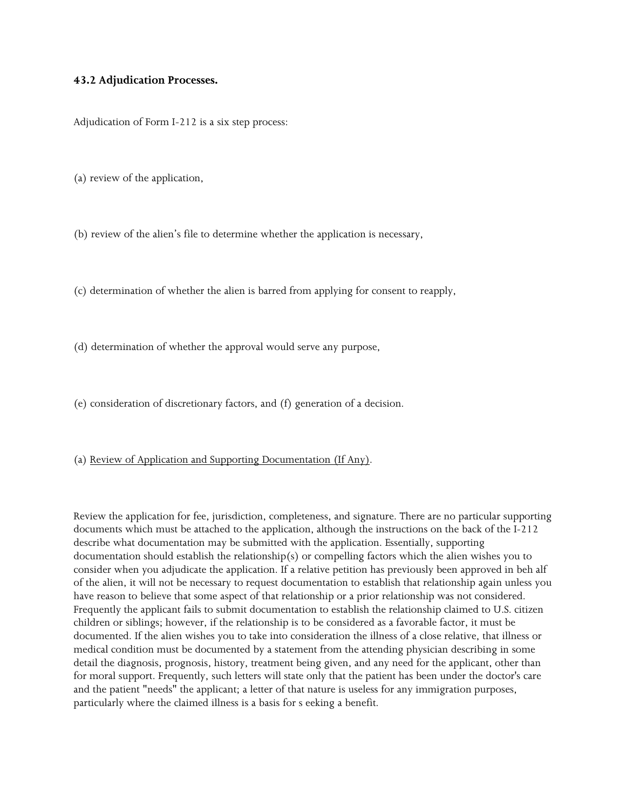### **43.2 Adjudication Processes.**

Adjudication of Form I-212 is a six step process:

(a) review of the application,

(b) review of the alien's file to determine whether the application is necessary,

(c) determination of whether the alien is barred from applying for consent to reapply,

(d) determination of whether the approval would serve any purpose,

(e) consideration of discretionary factors, and (f) generation of a decision.

#### (a) Review of Application and Supporting Documentation (If Any).

Review the application for fee, jurisdiction, completeness, and signature. There are no particular supporting documents which must be attached to the application, although the instructions on the back of the I-212 describe what documentation may be submitted with the application. Essentially, supporting documentation should establish the relationship(s) or compelling factors which the alien wishes you to consider when you adjudicate the application. If a relative petition has previously been approved in beh alf of the alien, it will not be necessary to request documentation to establish that relationship again unless you have reason to believe that some aspect of that relationship or a prior relationship was not considered. Frequently the applicant fails to submit documentation to establish the relationship claimed to U.S. citizen children or siblings; however, if the relationship is to be considered as a favorable factor, it must be documented. If the alien wishes you to take into consideration the illness of a close relative, that illness or medical condition must be documented by a statement from the attending physician describing in some detail the diagnosis, prognosis, history, treatment being given, and any need for the applicant, other than for moral support. Frequently, such letters will state only that the patient has been under the doctor's care and the patient "needs" the applicant; a letter of that nature is useless for any immigration purposes, particularly where the claimed illness is a basis for s eeking a benefit.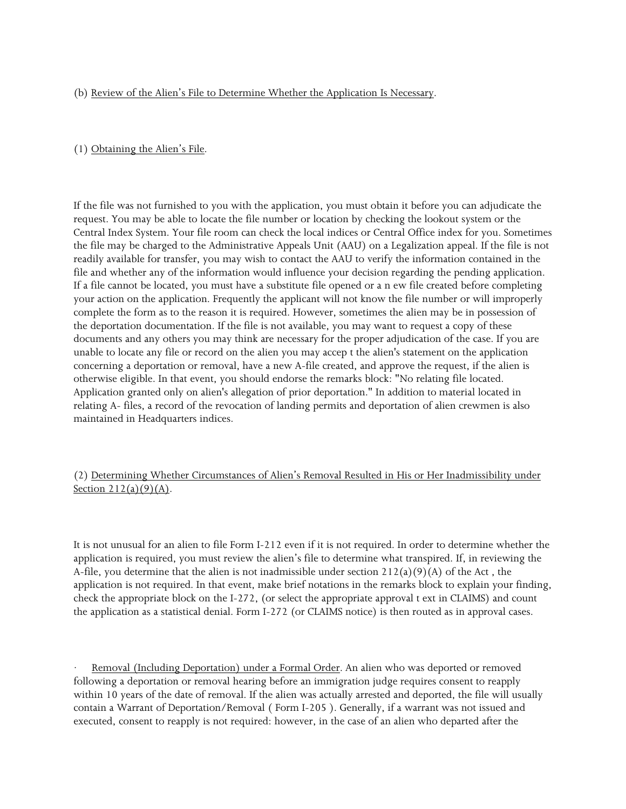## (b) Review of the Alien's File to Determine Whether the Application Is Necessary.

## (1) Obtaining the Alien's File.

If the file was not furnished to you with the application, you must obtain it before you can adjudicate the request. You may be able to locate the file number or location by checking the lookout system or the Central Index System. Your file room can check the local indices or Central Office index for you. Sometimes the file may be charged to the Administrative Appeals Unit (AAU) on a Legalization appeal. If the file is not readily available for transfer, you may wish to contact the AAU to verify the information contained in the file and whether any of the information would influence your decision regarding the pending application. If a file cannot be located, you must have a substitute file opened or a n ew file created before completing your action on the application. Frequently the applicant will not know the file number or will improperly complete the form as to the reason it is required. However, sometimes the alien may be in possession of the deportation documentation. If the file is not available, you may want to request a copy of these documents and any others you may think are necessary for the proper adjudication of the case. If you are unable to locate any file or record on the alien you may accep t the alien's statement on the application concerning a deportation or removal, have a new A-file created, and approve the request, if the alien is otherwise eligible. In that event, you should endorse the remarks block: "No relating file located. Application granted only on alien's allegation of prior deportation." In addition to material located in relating A- files, a record of the revocation of landing permits and deportation of alien crewmen is also maintained in Headquarters indices.

(2) Determining Whether Circumstances of Alien's Removal Resulted in His or Her Inadmissibility under Section  $212(a)(9)(A)$ .

It is not unusual for an alien to file Form I-212 even if it is not required. In order to determine whether the application is required, you must review the alien's file to determine what transpired. If, in reviewing the A-file, you determine that the alien is not inadmissible under section  $212(a)(9)(A)$  of the Act, the application is not required. In that event, make brief notations in the remarks block to explain your finding, check the appropriate block on the I-272, (or select the appropriate approval t ext in CLAIMS) and count the application as a statistical denial. Form I-272 (or CLAIMS notice) is then routed as in approval cases.

Removal (Including Deportation) under a Formal Order. An alien who was deported or removed following a deportation or removal hearing before an immigration judge requires consent to reapply within 10 years of the date of removal. If the alien was actually arrested and deported, the file will usually contain a Warrant of Deportation/Removal ( Form I-205 ). Generally, if a warrant was not issued and executed, consent to reapply is not required: however, in the case of an alien who departed after the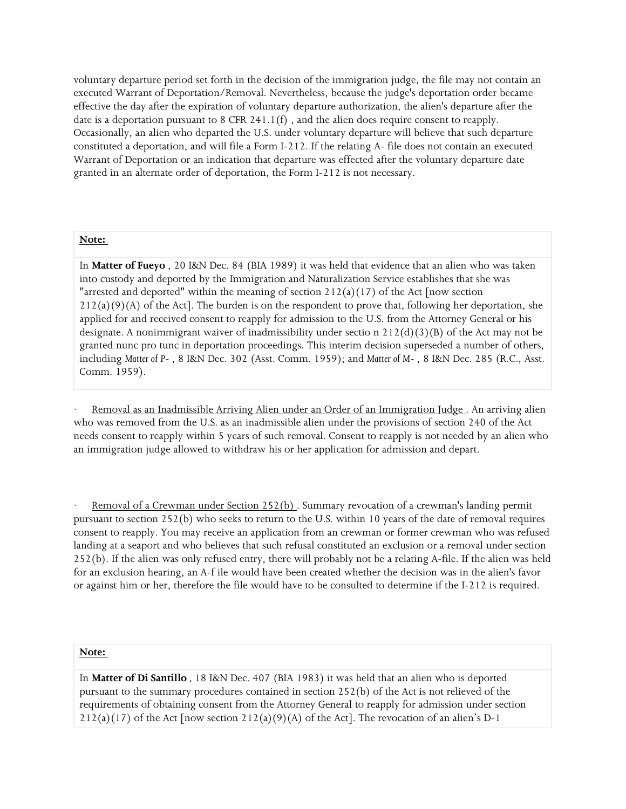voluntary departure period set forth in the decision of the immigration judge, the file may not contain an executed Warrant of Deportation/Removal. Nevertheless, because the judge's deportation order became effective the day after the expiration of voluntary departure authorization, the alien's departure after the date is a deportation pursuant to 8 CFR 241.1(f), and the alien does require consent to reapply. Occasionally, an alien who departed the U.S. under voluntary departure will believe that such departure constituted a deportation, and will file a Form I-212. If the relating A- file does not contain an executed Warrant of Deportation or an indication that departure was effected after the voluntary departure date granted in an alternate order of deportation, the Form I-212 is not necessary.

#### **Note:**

In **Matter of Fueyo** , 20 I&N Dec. 84 (BIA 1989) it was held that evidence that an alien who was taken into custody and deported by the Immigration and Naturalization Service establishes that she was "arrested and deported" within the meaning of section  $212(a)(17)$  of the Act [now section  $212(a)(9)(A)$  of the Act]. The burden is on the respondent to prove that, following her deportation, she applied for and received consent to reapply for admission to the U.S. from the Attorney General or his designate. A nonimmigrant waiver of inadmissibility under sectio n  $212(d)(3)(B)$  of the Act may not be granted nunc pro tunc in deportation proceedings. This interim decision superseded a number of others, including *Matter of P-* , 8 I&N Dec. 302 (Asst. Comm. 1959); and *Matter of M-* , 8 I&N Dec. 285 (R.C., Asst. Comm. 1959).

Removal as an Inadmissible Arriving Alien under an Order of an Immigration Judge . An arriving alien who was removed from the U.S. as an inadmissible alien under the provisions of section 240 of the Act needs consent to reapply within 5 years of such removal. Consent to reapply is not needed by an alien who an immigration judge allowed to withdraw his or her application for admission and depart.

Removal of a Crewman under Section 252(b). Summary revocation of a crewman's landing permit pursuant to section 252(b) who seeks to return to the U.S. within 10 years of the date of removal requires consent to reapply. You may receive an application from an crewman or former crewman who was refused landing at a seaport and who believes that such refusal constituted an exclusion or a removal under section 252(b). If the alien was only refused entry, there will probably not be a relating A-file. If the alien was held for an exclusion hearing, an A-f ile would have been created whether the decision was in the alien's favor or against him or her, therefore the file would have to be consulted to determine if the I-212 is required.

#### **Note:**

In **Matter of Di Santillo** *,* 18 I&N Dec. 407 (BIA 1983) it was held that an alien who is deported pursuant to the summary procedures contained in section 252(b) of the Act is not relieved of the requirements of obtaining consent from the Attorney General to reapply for admission under section  $212(a)(17)$  of the Act [now section  $212(a)(9)(A)$  of the Act]. The revocation of an alien's D-1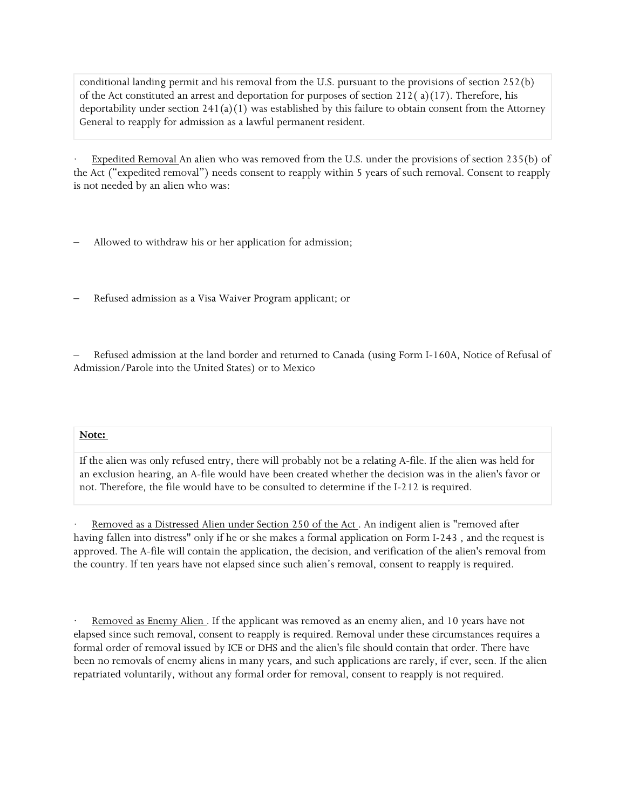conditional landing permit and his removal from the U.S. pursuant to the provisions of section 252(b) of the Act constituted an arrest and deportation for purposes of section 212( $a$ )(17). Therefore, his deportability under section  $241(a)(1)$  was established by this failure to obtain consent from the Attorney General to reapply for admission as a lawful permanent resident.

Expedited Removal An alien who was removed from the U.S. under the provisions of section 235(b) of the Act ("expedited removal") needs consent to reapply within 5 years of such removal. Consent to reapply is not needed by an alien who was:

- Allowed to withdraw his or her application for admission;
- Refused admission as a Visa Waiver Program applicant; or

– Refused admission at the land border and returned to Canada (using Form I-160A, Notice of Refusal of Admission/Parole into the United States) or to Mexico

#### **Note:**

If the alien was only refused entry, there will probably not be a relating A-file. If the alien was held for an exclusion hearing, an A-file would have been created whether the decision was in the alien's favor or not. Therefore, the file would have to be consulted to determine if the I-212 is required.

Removed as a Distressed Alien under Section 250 of the Act. An indigent alien is "removed after having fallen into distress" only if he or she makes a formal application on Form I-243 , and the request is approved. The A-file will contain the application, the decision, and verification of the alien's removal from the country. If ten years have not elapsed since such alien's removal, consent to reapply is required.

Removed as Enemy Alien . If the applicant was removed as an enemy alien, and 10 years have not elapsed since such removal, consent to reapply is required. Removal under these circumstances requires a formal order of removal issued by ICE or DHS and the alien's file should contain that order. There have been no removals of enemy aliens in many years, and such applications are rarely, if ever, seen. If the alien repatriated voluntarily, without any formal order for removal, consent to reapply is not required.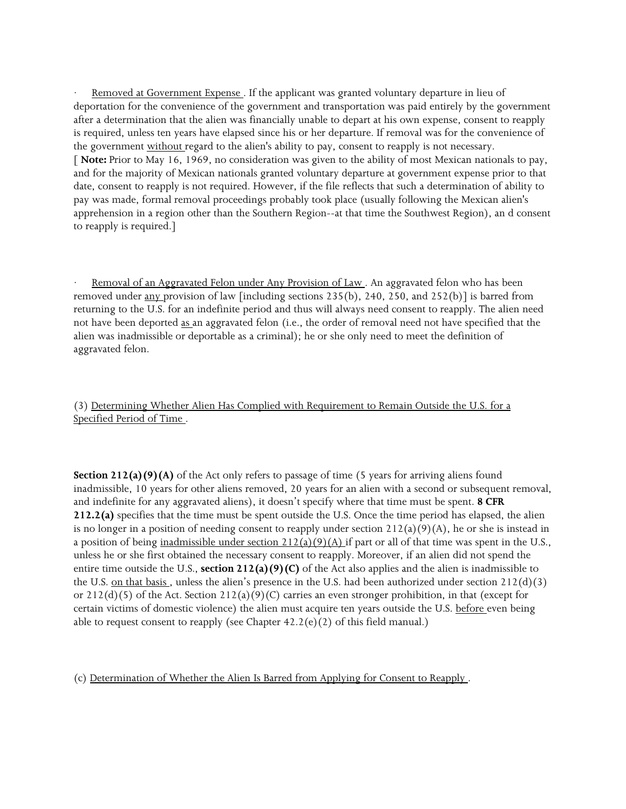Removed at Government Expense . If the applicant was granted voluntary departure in lieu of deportation for the convenience of the government and transportation was paid entirely by the government after a determination that the alien was financially unable to depart at his own expense, consent to reapply is required, unless ten years have elapsed since his or her departure. If removal was for the convenience of the government without regard to the alien's ability to pay, consent to reapply is not necessary. [ **Note:** Prior to May 16, 1969, no consideration was given to the ability of most Mexican nationals to pay, and for the majority of Mexican nationals granted voluntary departure at government expense prior to that date, consent to reapply is not required. However, if the file reflects that such a determination of ability to pay was made, formal removal proceedings probably took place (usually following the Mexican alien's apprehension in a region other than the Southern Region--at that time the Southwest Region), an d consent to reapply is required.]

Removal of an Aggravated Felon under Any Provision of Law . An aggravated felon who has been removed under any provision of law [including sections 235(b), 240, 250, and 252(b)] is barred from returning to the U.S. for an indefinite period and thus will always need consent to reapply. The alien need not have been deported as an aggravated felon (i.e., the order of removal need not have specified that the alien was inadmissible or deportable as a criminal); he or she only need to meet the definition of aggravated felon.

(3) Determining Whether Alien Has Complied with Requirement to Remain Outside the U.S. for a Specified Period of Time .

**Section 212(a)(9)(A)** of the Act only refers to passage of time (5 years for arriving aliens found inadmissible, 10 years for other aliens removed, 20 years for an alien with a second or subsequent removal, and indefinite for any aggravated aliens), it doesn't specify where that time must be spent. **8 CFR 212.2(a)** specifies that the time must be spent outside the U.S. Once the time period has elapsed, the alien is no longer in a position of needing consent to reapply under section  $212(a)(9)(A)$ , he or she is instead in a position of being inadmissible under section  $212(a)(9)(A)$  if part or all of that time was spent in the U.S., unless he or she first obtained the necessary consent to reapply. Moreover, if an alien did not spend the entire time outside the U.S., **section 212(a)(9)(C)** of the Act also applies and the alien is inadmissible to the U.S. on that basis, unless the alien's presence in the U.S. had been authorized under section  $212(d)(3)$ or  $212(d)(5)$  of the Act. Section  $212(a)(9)(C)$  carries an even stronger prohibition, in that (except for certain victims of domestic violence) the alien must acquire ten years outside the U.S. before even being able to request consent to reapply (see Chapter  $42.2(e)(2)$  of this field manual.)

(c) Determination of Whether the Alien Is Barred from Applying for Consent to Reapply .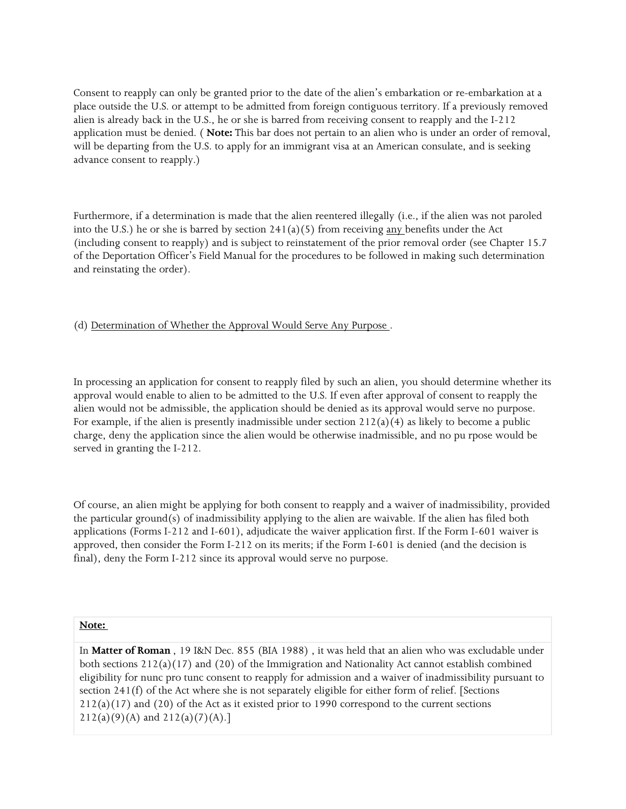Consent to reapply can only be granted prior to the date of the alien's embarkation or re-embarkation at a place outside the U.S. or attempt to be admitted from foreign contiguous territory. If a previously removed alien is already back in the U.S., he or she is barred from receiving consent to reapply and the I-212 application must be denied. ( **Note:** This bar does not pertain to an alien who is under an order of removal, will be departing from the U.S. to apply for an immigrant visa at an American consulate, and is seeking advance consent to reapply.)

Furthermore, if a determination is made that the alien reentered illegally (i.e., if the alien was not paroled into the U.S.) he or she is barred by section  $241(a)(5)$  from receiving any benefits under the Act (including consent to reapply) and is subject to reinstatement of the prior removal order (see Chapter 15.7 of the Deportation Officer's Field Manual for the procedures to be followed in making such determination and reinstating the order).

(d) Determination of Whether the Approval Would Serve Any Purpose .

In processing an application for consent to reapply filed by such an alien, you should determine whether its approval would enable to alien to be admitted to the U.S. If even after approval of consent to reapply the alien would not be admissible, the application should be denied as its approval would serve no purpose. For example, if the alien is presently inadmissible under section  $212(a)(4)$  as likely to become a public charge, deny the application since the alien would be otherwise inadmissible, and no pu rpose would be served in granting the I-212.

Of course, an alien might be applying for both consent to reapply and a waiver of inadmissibility, provided the particular ground(s) of inadmissibility applying to the alien are waivable. If the alien has filed both applications (Forms I-212 and I-601), adjudicate the waiver application first. If the Form I-601 waiver is approved, then consider the Form I-212 on its merits; if the Form I-601 is denied (and the decision is final), deny the Form I-212 since its approval would serve no purpose.

#### **Note:**

In **Matter of Roman** , 19 I&N Dec. 855 (BIA 1988) , it was held that an alien who was excludable under both sections  $212(a)(17)$  and  $(20)$  of the Immigration and Nationality Act cannot establish combined eligibility for nunc pro tunc consent to reapply for admission and a waiver of inadmissibility pursuant to section 241(f) of the Act where she is not separately eligible for either form of relief. [Sections  $212(a)(17)$  and  $(20)$  of the Act as it existed prior to 1990 correspond to the current sections  $212(a)(9)(A)$  and  $212(a)(7)(A).$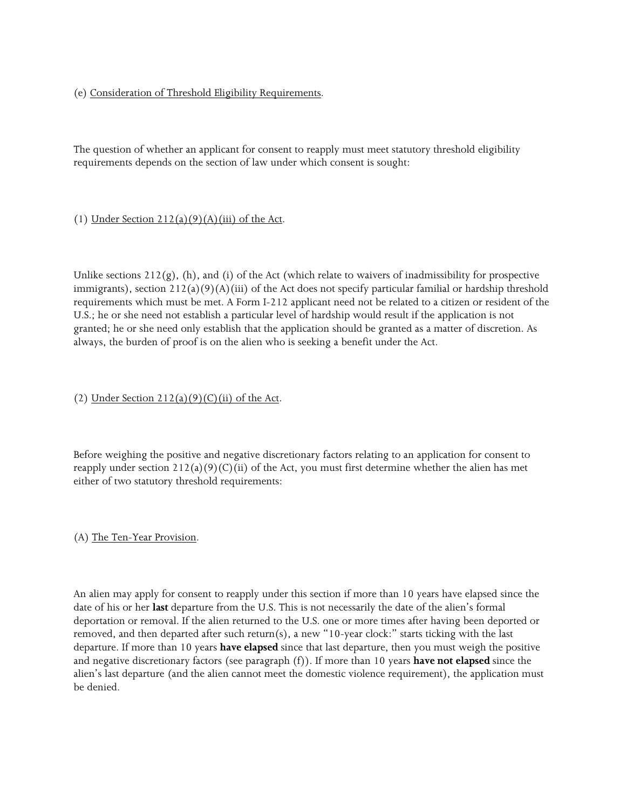# (e) Consideration of Threshold Eligibility Requirements.

The question of whether an applicant for consent to reapply must meet statutory threshold eligibility requirements depends on the section of law under which consent is sought:

# (1) Under Section  $212(a)(9)(A)(iii)$  of the Act.

Unlike sections  $212(g)$ , (h), and (i) of the Act (which relate to waivers of inadmissibility for prospective immigrants), section  $212(a)(9)(A)(iii)$  of the Act does not specify particular familial or hardship threshold requirements which must be met. A Form I-212 applicant need not be related to a citizen or resident of the U.S.; he or she need not establish a particular level of hardship would result if the application is not granted; he or she need only establish that the application should be granted as a matter of discretion. As always, the burden of proof is on the alien who is seeking a benefit under the Act.

# (2) Under Section  $212(a)(9)(C)(ii)$  of the Act.

Before weighing the positive and negative discretionary factors relating to an application for consent to reapply under section  $212(a)(9)(C)(ii)$  of the Act, you must first determine whether the alien has met either of two statutory threshold requirements:

# (A) The Ten-Year Provision.

An alien may apply for consent to reapply under this section if more than 10 years have elapsed since the date of his or her **last** departure from the U.S. This is not necessarily the date of the alien's formal deportation or removal. If the alien returned to the U.S. one or more times after having been deported or removed, and then departed after such return(s), a new "10-year clock:" starts ticking with the last departure. If more than 10 years **have elapsed** since that last departure, then you must weigh the positive and negative discretionary factors (see paragraph (f)). If more than 10 years **have not elapsed** since the alien's last departure (and the alien cannot meet the domestic violence requirement), the application must be denied.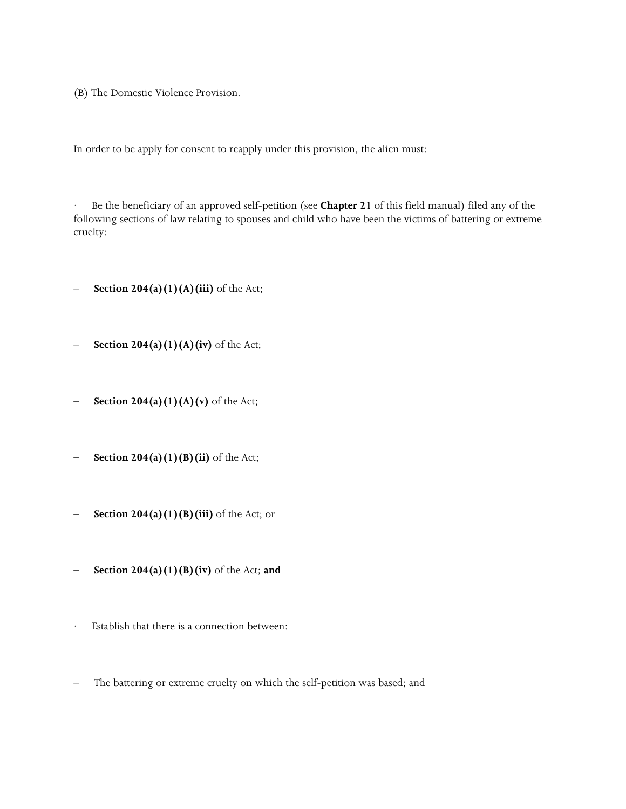(B) The Domestic Violence Provision.

In order to be apply for consent to reapply under this provision, the alien must:

· Be the beneficiary of an approved self-petition (see **Chapter 21** of this field manual) filed any of the following sections of law relating to spouses and child who have been the victims of battering or extreme cruelty:

- **Section 204(a)(1)(A)(iii)** of the Act;
- **Section 204(a)(1)(A)(iv)** of the Act;
- **Section 204(a)(1)(A)(v)** of the Act;
- **Section 204(a)(1)(B)(ii)** of the Act;
- **Section 204(a)(1)(B)(iii)** of the Act; or
- **Section 204(a)(1)(B)(iv)** of the Act; **and**
- Establish that there is a connection between:
- The battering or extreme cruelty on which the self-petition was based; and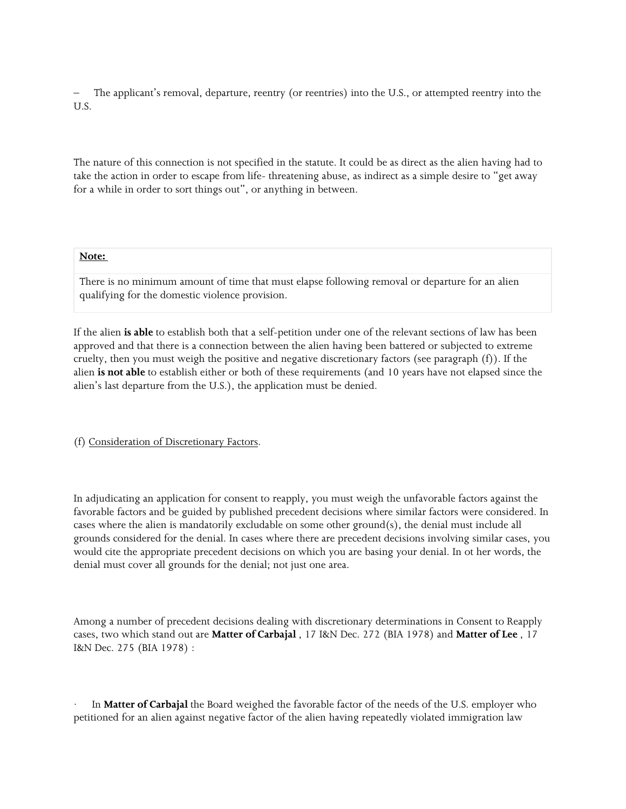– The applicant's removal, departure, reentry (or reentries) into the U.S., or attempted reentry into the U.S.

The nature of this connection is not specified in the statute. It could be as direct as the alien having had to take the action in order to escape from life- threatening abuse, as indirect as a simple desire to "get away for a while in order to sort things out", or anything in between.

#### **Note:**

There is no minimum amount of time that must elapse following removal or departure for an alien qualifying for the domestic violence provision.

If the alien **is able** to establish both that a self-petition under one of the relevant sections of law has been approved and that there is a connection between the alien having been battered or subjected to extreme cruelty, then you must weigh the positive and negative discretionary factors (see paragraph (f)). If the alien **is not able** to establish either or both of these requirements (and 10 years have not elapsed since the alien's last departure from the U.S.), the application must be denied.

(f) Consideration of Discretionary Factors.

In adjudicating an application for consent to reapply, you must weigh the unfavorable factors against the favorable factors and be guided by published precedent decisions where similar factors were considered. In cases where the alien is mandatorily excludable on some other ground(s), the denial must include all grounds considered for the denial. In cases where there are precedent decisions involving similar cases, you would cite the appropriate precedent decisions on which you are basing your denial. In ot her words, the denial must cover all grounds for the denial; not just one area.

Among a number of precedent decisions dealing with discretionary determinations in Consent to Reapply cases, two which stand out are **Matter of Carbajal** , 17 I&N Dec. 272 (BIA 1978) and **Matter of Lee** , 17 I&N Dec. 275 (BIA 1978) :

In **Matter of Carbajal** the Board weighed the favorable factor of the needs of the U.S. employer who petitioned for an alien against negative factor of the alien having repeatedly violated immigration law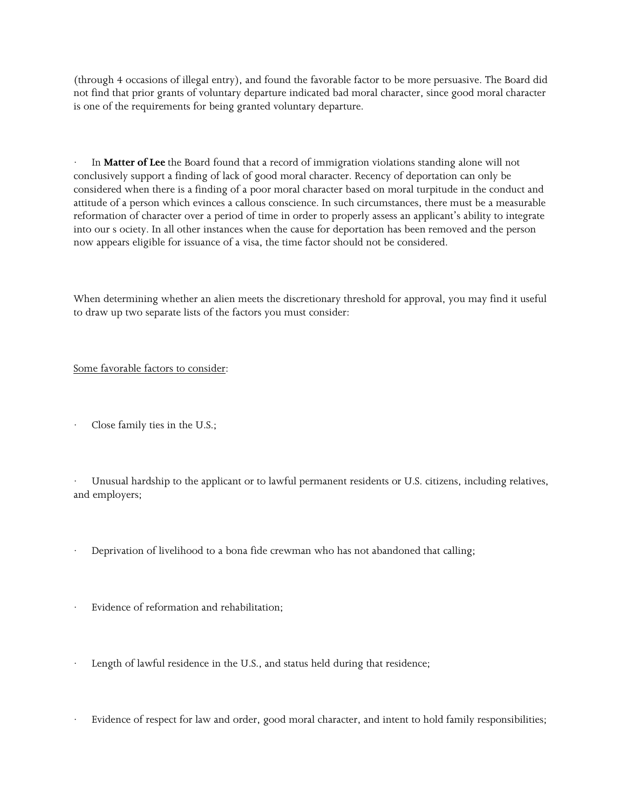(through 4 occasions of illegal entry), and found the favorable factor to be more persuasive. The Board did not find that prior grants of voluntary departure indicated bad moral character, since good moral character is one of the requirements for being granted voluntary departure.

In **Matter of Lee** the Board found that a record of immigration violations standing alone will not conclusively support a finding of lack of good moral character. Recency of deportation can only be considered when there is a finding of a poor moral character based on moral turpitude in the conduct and attitude of a person which evinces a callous conscience. In such circumstances, there must be a measurable reformation of character over a period of time in order to properly assess an applicant's ability to integrate into our s ociety. In all other instances when the cause for deportation has been removed and the person now appears eligible for issuance of a visa, the time factor should not be considered.

When determining whether an alien meets the discretionary threshold for approval, you may find it useful to draw up two separate lists of the factors you must consider:

# Some favorable factors to consider:

Close family ties in the U.S.;

· Unusual hardship to the applicant or to lawful permanent residents or U.S. citizens, including relatives, and employers;

- Deprivation of livelihood to a bona fide crewman who has not abandoned that calling;
- Evidence of reformation and rehabilitation;
- Length of lawful residence in the U.S., and status held during that residence;
- Evidence of respect for law and order, good moral character, and intent to hold family responsibilities;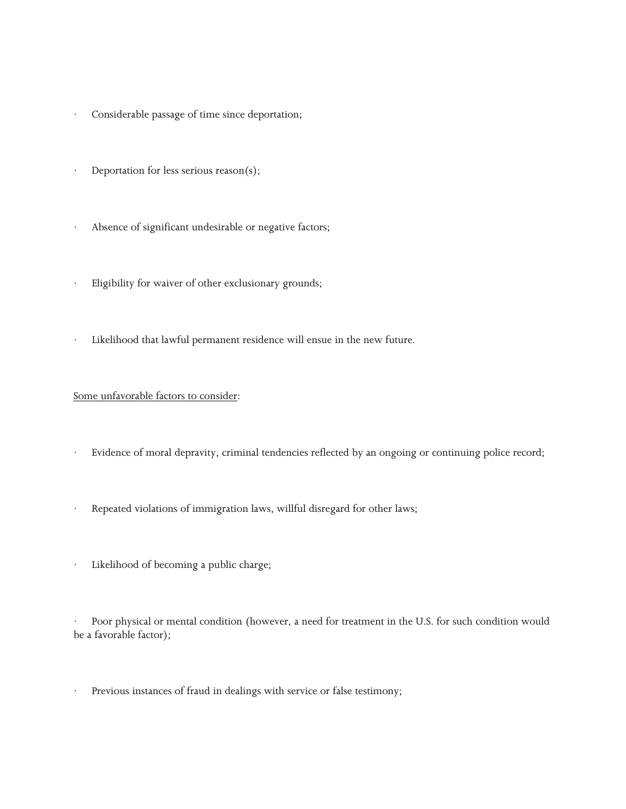- Considerable passage of time since deportation;
- Deportation for less serious reason(s);
- · Absence of significant undesirable or negative factors;
- Eligibility for waiver of other exclusionary grounds;
- Likelihood that lawful permanent residence will ensue in the new future.

# Some unfavorable factors to consider:

- Evidence of moral depravity, criminal tendencies reflected by an ongoing or continuing police record;
- · Repeated violations of immigration laws, willful disregard for other laws;
- Likelihood of becoming a public charge;

Poor physical or mental condition (however, a need for treatment in the U.S. for such condition would be a favorable factor);

Previous instances of fraud in dealings with service or false testimony;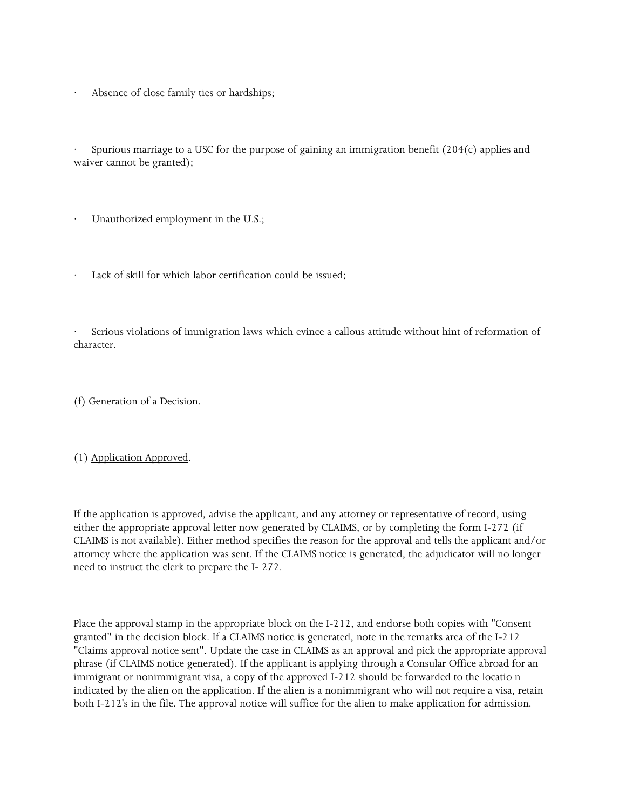Absence of close family ties or hardships;

· Spurious marriage to a USC for the purpose of gaining an immigration benefit (204(c) applies and waiver cannot be granted);

Unauthorized employment in the U.S.;

Lack of skill for which labor certification could be issued;

Serious violations of immigration laws which evince a callous attitude without hint of reformation of character.

(f) Generation of a Decision.

(1) Application Approved.

If the application is approved, advise the applicant, and any attorney or representative of record, using either the appropriate approval letter now generated by CLAIMS, or by completing the form I-272 (if CLAIMS is not available). Either method specifies the reason for the approval and tells the applicant and/or attorney where the application was sent. If the CLAIMS notice is generated, the adjudicator will no longer need to instruct the clerk to prepare the I- 272.

Place the approval stamp in the appropriate block on the I-212, and endorse both copies with "Consent granted" in the decision block. If a CLAIMS notice is generated, note in the remarks area of the I-212 "Claims approval notice sent". Update the case in CLAIMS as an approval and pick the appropriate approval phrase (if CLAIMS notice generated). If the applicant is applying through a Consular Office abroad for an immigrant or nonimmigrant visa, a copy of the approved I-212 should be forwarded to the locatio n indicated by the alien on the application. If the alien is a nonimmigrant who will not require a visa, retain both I-212's in the file. The approval notice will suffice for the alien to make application for admission.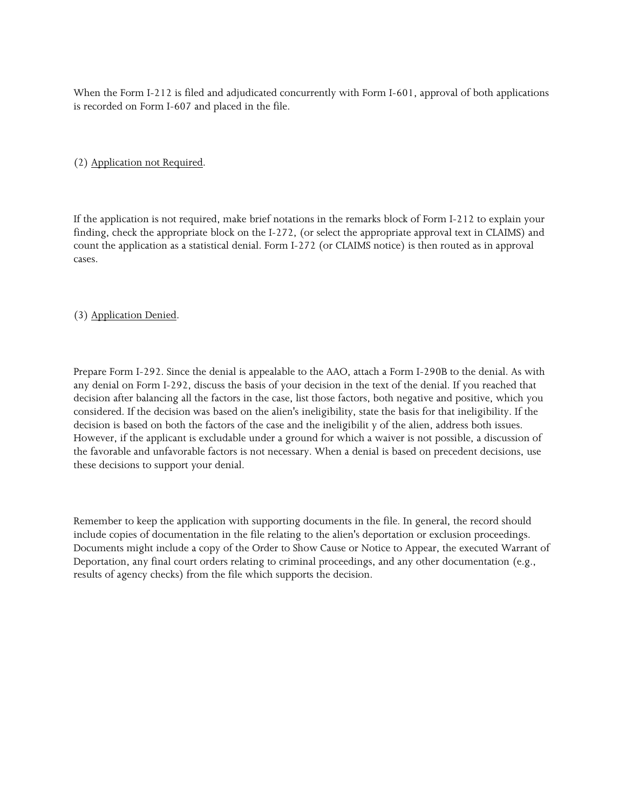When the Form I-212 is filed and adjudicated concurrently with Form I-601, approval of both applications is recorded on Form I-607 and placed in the file.

(2) Application not Required.

If the application is not required, make brief notations in the remarks block of Form I-212 to explain your finding, check the appropriate block on the I-272, (or select the appropriate approval text in CLAIMS) and count the application as a statistical denial. Form I-272 (or CLAIMS notice) is then routed as in approval cases.

## (3) Application Denied.

Prepare Form I-292. Since the denial is appealable to the AAO, attach a Form I-290B to the denial. As with any denial on Form I-292, discuss the basis of your decision in the text of the denial. If you reached that decision after balancing all the factors in the case, list those factors, both negative and positive, which you considered. If the decision was based on the alien's ineligibility, state the basis for that ineligibility. If the decision is based on both the factors of the case and the ineligibilit y of the alien, address both issues. However, if the applicant is excludable under a ground for which a waiver is not possible, a discussion of the favorable and unfavorable factors is not necessary. When a denial is based on precedent decisions, use these decisions to support your denial.

Remember to keep the application with supporting documents in the file. In general, the record should include copies of documentation in the file relating to the alien's deportation or exclusion proceedings. Documents might include a copy of the Order to Show Cause or Notice to Appear, the executed Warrant of Deportation, any final court orders relating to criminal proceedings, and any other documentation (e.g., results of agency checks) from the file which supports the decision.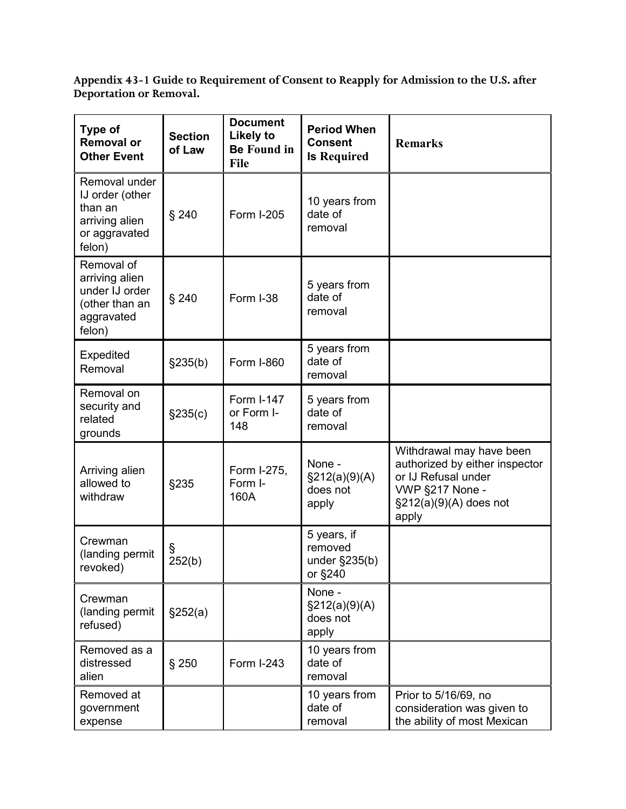**Appendix 43-1 Guide to Requirement of Consent to Reapply for Admission to the U.S. after Deportation or Removal.**

| <b>Type of</b><br><b>Removal or</b><br><b>Other Event</b>                                | <b>Section</b><br>of Law | <b>Document</b><br><b>Likely to</b><br><b>Be Found in</b><br>File | <b>Period When</b><br><b>Consent</b><br><b>Is Required</b> | <b>Remarks</b>                                                                                                                             |
|------------------------------------------------------------------------------------------|--------------------------|-------------------------------------------------------------------|------------------------------------------------------------|--------------------------------------------------------------------------------------------------------------------------------------------|
| Removal under<br>IJ order (other<br>than an<br>arriving alien<br>or aggravated<br>felon) | $§$ 240                  | <b>Form I-205</b>                                                 | 10 years from<br>date of<br>removal                        |                                                                                                                                            |
| Removal of<br>arriving alien<br>under IJ order<br>(other than an<br>aggravated<br>felon) | § 240                    | Form I-38                                                         | 5 years from<br>date of<br>removal                         |                                                                                                                                            |
| Expedited<br>Removal                                                                     | §235(b)                  | <b>Form I-860</b>                                                 | 5 years from<br>date of<br>removal                         |                                                                                                                                            |
| Removal on<br>security and<br>related<br>grounds                                         | §235(c)                  | Form I-147<br>or Form I-<br>148                                   | 5 years from<br>date of<br>removal                         |                                                                                                                                            |
| Arriving alien<br>allowed to<br>withdraw                                                 | §235                     | Form I-275,<br>Form I-<br>160A                                    | None -<br>§212(a)(9)(A)<br>does not<br>apply               | Withdrawal may have been<br>authorized by either inspector<br>or IJ Refusal under<br>VWP §217 None -<br>$\S212(a)(9)(A)$ does not<br>apply |
| Crewman<br>(landing permit<br>revoked)                                                   | §<br>252(b)              |                                                                   | 5 years, if<br>removed<br>under $\S$ 235(b)<br>or §240     |                                                                                                                                            |
| Crewman<br>(landing permit<br>refused)                                                   | \$252(a)                 |                                                                   | None -<br>\$212(a)(9)(A)<br>does not<br>apply              |                                                                                                                                            |
| Removed as a<br>distressed<br>alien                                                      | $§$ 250                  | <b>Form I-243</b>                                                 | 10 years from<br>date of<br>removal                        |                                                                                                                                            |
| Removed at<br>government<br>expense                                                      |                          |                                                                   | 10 years from<br>date of<br>removal                        | Prior to 5/16/69, no<br>consideration was given to<br>the ability of most Mexican                                                          |